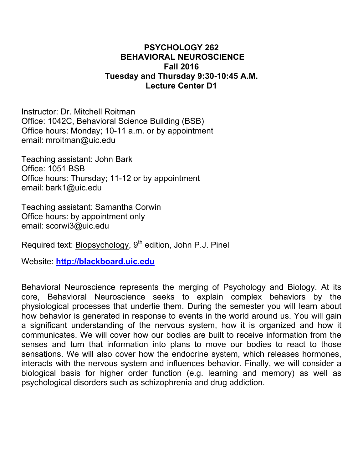## **PSYCHOLOGY 262 BEHAVIORAL NEUROSCIENCE Fall 2016 Tuesday and Thursday 9:30-10:45 A.M. Lecture Center D1**

Instructor: Dr. Mitchell Roitman Office: 1042C, Behavioral Science Building (BSB) Office hours: Monday; 10-11 a.m. or by appointment email: mroitman@uic.edu

Teaching assistant: John Bark Office: 1051 BSB Office hours: Thursday; 11-12 or by appointment email: bark1@uic.edu

Teaching assistant: Samantha Corwin Office hours: by appointment only email: scorwi3@uic.edu

Required text: Biopsychology, 9<sup>th</sup> edition, John P.J. Pinel

Website: **http://blackboard.uic.edu**

Behavioral Neuroscience represents the merging of Psychology and Biology. At its core, Behavioral Neuroscience seeks to explain complex behaviors by the physiological processes that underlie them. During the semester you will learn about how behavior is generated in response to events in the world around us. You will gain a significant understanding of the nervous system, how it is organized and how it communicates. We will cover how our bodies are built to receive information from the senses and turn that information into plans to move our bodies to react to those sensations. We will also cover how the endocrine system, which releases hormones, interacts with the nervous system and influences behavior. Finally, we will consider a biological basis for higher order function (e.g. learning and memory) as well as psychological disorders such as schizophrenia and drug addiction.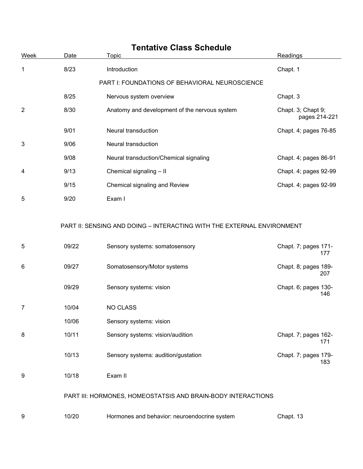| <b>Tentative Class Schedule</b> |       |                                                                        |                                     |  |
|---------------------------------|-------|------------------------------------------------------------------------|-------------------------------------|--|
| Week                            | Date  | <b>Topic</b>                                                           | Readings                            |  |
| 1                               | 8/23  | Introduction                                                           | Chapt. 1                            |  |
|                                 |       | PART I: FOUNDATIONS OF BEHAVIORAL NEUROSCIENCE                         |                                     |  |
|                                 | 8/25  | Nervous system overview                                                | Chapt. 3                            |  |
| $\overline{2}$                  | 8/30  | Anatomy and development of the nervous system                          | Chapt. 3; Chapt 9;<br>pages 214-221 |  |
|                                 | 9/01  | Neural transduction                                                    | Chapt. 4; pages 76-85               |  |
| 3                               | 9/06  | Neural transduction                                                    |                                     |  |
|                                 | 9/08  | Neural transduction/Chemical signaling                                 | Chapt. 4; pages 86-91               |  |
| 4                               | 9/13  | Chemical signaling - II                                                | Chapt. 4; pages 92-99               |  |
|                                 | 9/15  | Chemical signaling and Review                                          | Chapt. 4; pages 92-99               |  |
| 5                               | 9/20  | Exam I                                                                 |                                     |  |
|                                 |       | PART II: SENSING AND DOING - INTERACTING WITH THE EXTERNAL ENVIRONMENT |                                     |  |
| 5                               | 09/22 | Sensory systems: somatosensory                                         | Chapt. 7; pages 171-<br>177         |  |
| 6                               | 09/27 | Somatosensory/Motor systems                                            | Chapt. 8; pages 189-<br>207         |  |
|                                 | 09/29 | Sensory systems: vision                                                | Chapt. 6; pages 130-<br>146         |  |
| 7                               | 10/04 | NO CLASS                                                               |                                     |  |
|                                 | 10/06 | Sensory systems: vision                                                |                                     |  |
| 8                               | 10/11 | Sensory systems: vision/audition                                       | Chapt. 7; pages 162-<br>171         |  |
|                                 | 10/13 | Sensory systems: audition/gustation                                    | Chapt. 7; pages 179-<br>183         |  |
| 9                               | 10/18 | Exam II                                                                |                                     |  |
|                                 |       | PART III: HORMONES, HOMEOSTATSIS AND BRAIN-BODY INTERACTIONS           |                                     |  |
| 9                               | 10/20 | Hormones and behavior: neuroendocrine system                           | Chapt. 13                           |  |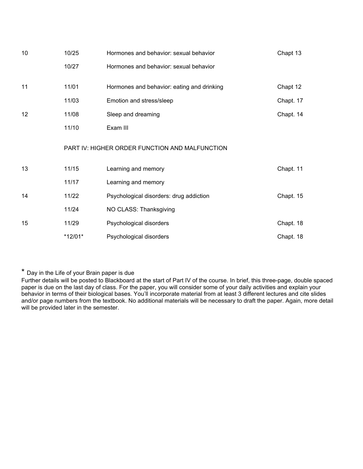| 10 | 10/25   | Hormones and behavior: sexual behavior         | Chapt 13  |
|----|---------|------------------------------------------------|-----------|
|    | 10/27   | Hormones and behavior: sexual behavior         |           |
| 11 | 11/01   | Hormones and behavior: eating and drinking     | Chapt 12  |
|    | 11/03   | Emotion and stress/sleep                       | Chapt. 17 |
| 12 | 11/08   | Sleep and dreaming                             | Chapt. 14 |
|    | 11/10   | Exam III                                       |           |
|    |         | PART IV: HIGHER ORDER FUNCTION AND MALFUNCTION |           |
| 13 | 11/15   | Learning and memory                            | Chapt. 11 |
|    | 11/17   | Learning and memory                            |           |
| 14 | 11/22   | Psychological disorders: drug addiction        | Chapt. 15 |
|    | 11/24   | NO CLASS: Thanksgiving                         |           |
| 15 | 11/29   | Psychological disorders                        | Chapt. 18 |
|    | *12/01* | Psychological disorders                        | Chapt. 18 |

\* Day in the Life of your Brain paper is due

Further details will be posted to Blackboard at the start of Part IV of the course. In brief, this three-page, double spaced paper is due on the last day of class. For the paper, you will consider some of your daily activities and explain your behavior in terms of their biological bases. You'll incorporate material from at least 3 different lectures and cite slides and/or page numbers from the textbook. No additional materials will be necessary to draft the paper. Again, more detail will be provided later in the semester.